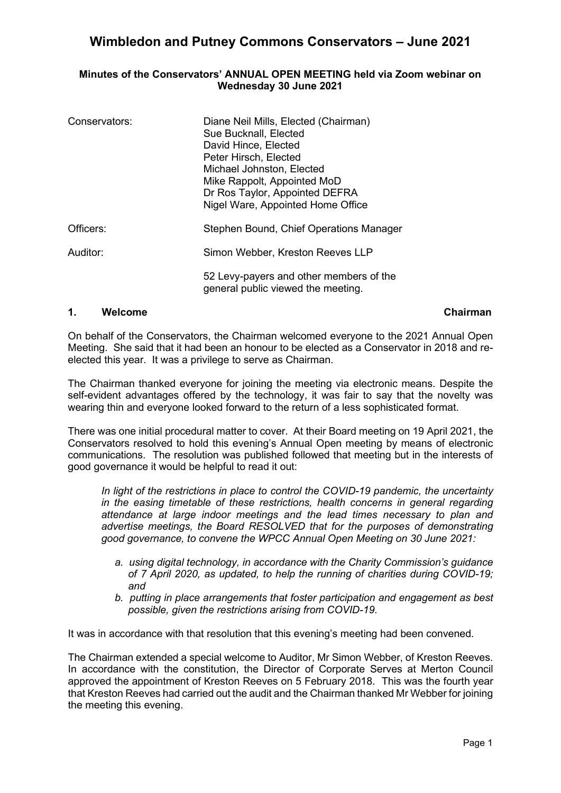#### **Minutes of the Conservators' ANNUAL OPEN MEETING held via Zoom webinar on Wednesday 30 June 2021**

| Conservators: | Diane Neil Mills, Elected (Chairman)<br>Sue Bucknall, Elected<br>David Hince, Elected<br>Peter Hirsch, Elected<br>Michael Johnston, Elected<br>Mike Rappolt, Appointed MoD<br>Dr Ros Taylor, Appointed DEFRA<br>Nigel Ware, Appointed Home Office |
|---------------|---------------------------------------------------------------------------------------------------------------------------------------------------------------------------------------------------------------------------------------------------|
| Officers:     | Stephen Bound, Chief Operations Manager                                                                                                                                                                                                           |
| Auditor:      | Simon Webber, Kreston Reeves LLP                                                                                                                                                                                                                  |
|               | 52 Levy-payers and other members of the<br>general public viewed the meeting.                                                                                                                                                                     |

### **1. Welcome Chairman**

On behalf of the Conservators, the Chairman welcomed everyone to the 2021 Annual Open Meeting. She said that it had been an honour to be elected as a Conservator in 2018 and reelected this year. It was a privilege to serve as Chairman.

The Chairman thanked everyone for joining the meeting via electronic means. Despite the self-evident advantages offered by the technology, it was fair to say that the novelty was wearing thin and everyone looked forward to the return of a less sophisticated format.

There was one initial procedural matter to cover. At their Board meeting on 19 April 2021, the Conservators resolved to hold this evening's Annual Open meeting by means of electronic communications. The resolution was published followed that meeting but in the interests of good governance it would be helpful to read it out:

*In light of the restrictions in place to control the COVID-19 pandemic, the uncertainty in the easing timetable of these restrictions, health concerns in general regarding attendance at large indoor meetings and the lead times necessary to plan and advertise meetings, the Board RESOLVED that for the purposes of demonstrating good governance, to convene the WPCC Annual Open Meeting on 30 June 2021:*

- *a. using digital technology, in accordance with the Charity Commission's guidance of 7 April 2020, as updated, to help the running of charities during COVID-19; and*
- *b. putting in place arrangements that foster participation and engagement as best possible, given the restrictions arising from COVID-19.*

It was in accordance with that resolution that this evening's meeting had been convened.

The Chairman extended a special welcome to Auditor, Mr Simon Webber, of Kreston Reeves. In accordance with the constitution, the Director of Corporate Serves at Merton Council approved the appointment of Kreston Reeves on 5 February 2018. This was the fourth year that Kreston Reeves had carried out the audit and the Chairman thanked Mr Webber for joining the meeting this evening.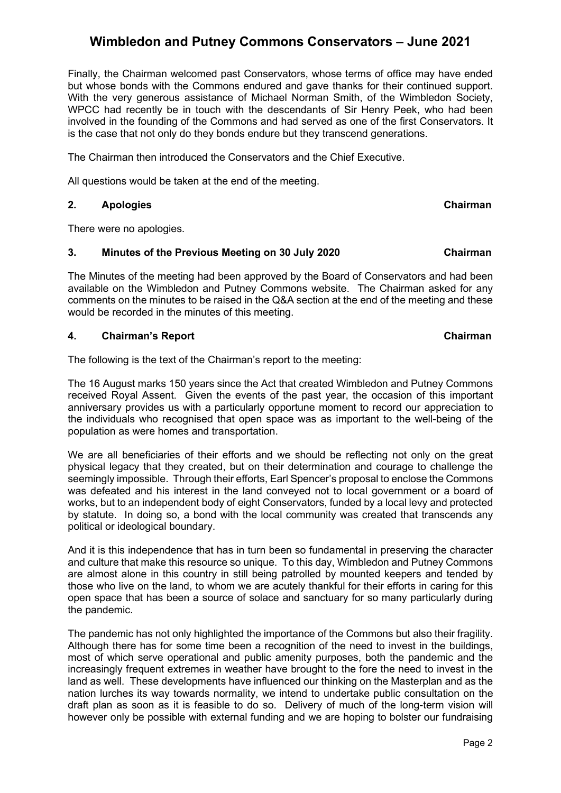Finally, the Chairman welcomed past Conservators, whose terms of office may have ended but whose bonds with the Commons endured and gave thanks for their continued support. With the very generous assistance of Michael Norman Smith, of the Wimbledon Society, WPCC had recently be in touch with the descendants of Sir Henry Peek, who had been involved in the founding of the Commons and had served as one of the first Conservators. It is the case that not only do they bonds endure but they transcend generations.

The Chairman then introduced the Conservators and the Chief Executive.

All questions would be taken at the end of the meeting.

## **2. Apologies Chairman**

There were no apologies.

#### **3. Minutes of the Previous Meeting on 30 July 2020 Chairman**

The Minutes of the meeting had been approved by the Board of Conservators and had been available on the Wimbledon and Putney Commons website. The Chairman asked for any comments on the minutes to be raised in the Q&A section at the end of the meeting and these would be recorded in the minutes of this meeting.

#### **4.** Chairman's Report Chairman Chairman Chairman Chairman

The following is the text of the Chairman's report to the meeting:

The 16 August marks 150 years since the Act that created Wimbledon and Putney Commons received Royal Assent. Given the events of the past year, the occasion of this important anniversary provides us with a particularly opportune moment to record our appreciation to the individuals who recognised that open space was as important to the well-being of the population as were homes and transportation.

We are all beneficiaries of their efforts and we should be reflecting not only on the great physical legacy that they created, but on their determination and courage to challenge the seemingly impossible. Through their efforts, Earl Spencer's proposal to enclose the Commons was defeated and his interest in the land conveyed not to local government or a board of works, but to an independent body of eight Conservators, funded by a local levy and protected by statute. In doing so, a bond with the local community was created that transcends any political or ideological boundary.

And it is this independence that has in turn been so fundamental in preserving the character and culture that make this resource so unique. To this day, Wimbledon and Putney Commons are almost alone in this country in still being patrolled by mounted keepers and tended by those who live on the land, to whom we are acutely thankful for their efforts in caring for this open space that has been a source of solace and sanctuary for so many particularly during the pandemic.

The pandemic has not only highlighted the importance of the Commons but also their fragility. Although there has for some time been a recognition of the need to invest in the buildings, most of which serve operational and public amenity purposes, both the pandemic and the increasingly frequent extremes in weather have brought to the fore the need to invest in the land as well. These developments have influenced our thinking on the Masterplan and as the nation lurches its way towards normality, we intend to undertake public consultation on the draft plan as soon as it is feasible to do so. Delivery of much of the long-term vision will however only be possible with external funding and we are hoping to bolster our fundraising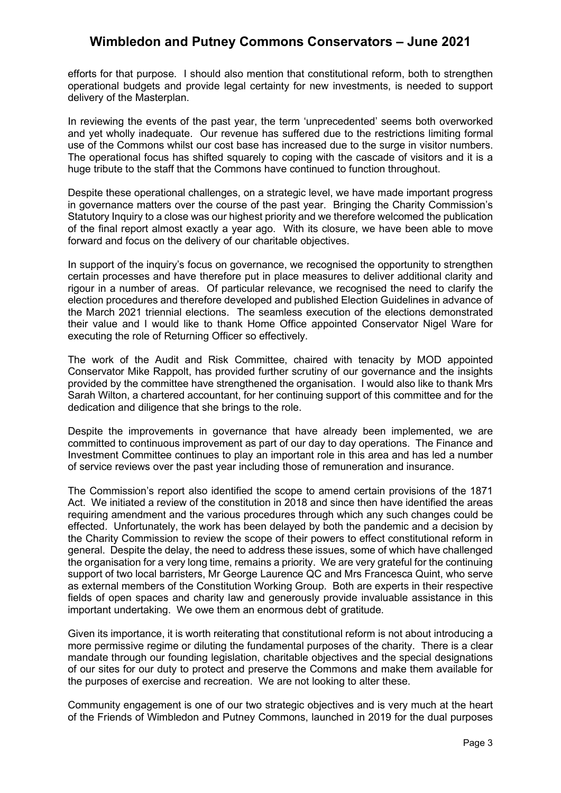efforts for that purpose. I should also mention that constitutional reform, both to strengthen operational budgets and provide legal certainty for new investments, is needed to support delivery of the Masterplan.

In reviewing the events of the past year, the term 'unprecedented' seems both overworked and yet wholly inadequate. Our revenue has suffered due to the restrictions limiting formal use of the Commons whilst our cost base has increased due to the surge in visitor numbers. The operational focus has shifted squarely to coping with the cascade of visitors and it is a huge tribute to the staff that the Commons have continued to function throughout.

Despite these operational challenges, on a strategic level, we have made important progress in governance matters over the course of the past year. Bringing the Charity Commission's Statutory Inquiry to a close was our highest priority and we therefore welcomed the publication of the final report almost exactly a year ago. With its closure, we have been able to move forward and focus on the delivery of our charitable objectives.

In support of the inquiry's focus on governance, we recognised the opportunity to strengthen certain processes and have therefore put in place measures to deliver additional clarity and rigour in a number of areas. Of particular relevance, we recognised the need to clarify the election procedures and therefore developed and published Election Guidelines in advance of the March 2021 triennial elections. The seamless execution of the elections demonstrated their value and I would like to thank Home Office appointed Conservator Nigel Ware for executing the role of Returning Officer so effectively.

The work of the Audit and Risk Committee, chaired with tenacity by MOD appointed Conservator Mike Rappolt, has provided further scrutiny of our governance and the insights provided by the committee have strengthened the organisation. I would also like to thank Mrs Sarah Wilton, a chartered accountant, for her continuing support of this committee and for the dedication and diligence that she brings to the role.

Despite the improvements in governance that have already been implemented, we are committed to continuous improvement as part of our day to day operations. The Finance and Investment Committee continues to play an important role in this area and has led a number of service reviews over the past year including those of remuneration and insurance.

The Commission's report also identified the scope to amend certain provisions of the 1871 Act. We initiated a review of the constitution in 2018 and since then have identified the areas requiring amendment and the various procedures through which any such changes could be effected. Unfortunately, the work has been delayed by both the pandemic and a decision by the Charity Commission to review the scope of their powers to effect constitutional reform in general. Despite the delay, the need to address these issues, some of which have challenged the organisation for a very long time, remains a priority. We are very grateful for the continuing support of two local barristers, Mr George Laurence QC and Mrs Francesca Quint, who serve as external members of the Constitution Working Group. Both are experts in their respective fields of open spaces and charity law and generously provide invaluable assistance in this important undertaking. We owe them an enormous debt of gratitude.

Given its importance, it is worth reiterating that constitutional reform is not about introducing a more permissive regime or diluting the fundamental purposes of the charity. There is a clear mandate through our founding legislation, charitable objectives and the special designations of our sites for our duty to protect and preserve the Commons and make them available for the purposes of exercise and recreation. We are not looking to alter these.

Community engagement is one of our two strategic objectives and is very much at the heart of the Friends of Wimbledon and Putney Commons, launched in 2019 for the dual purposes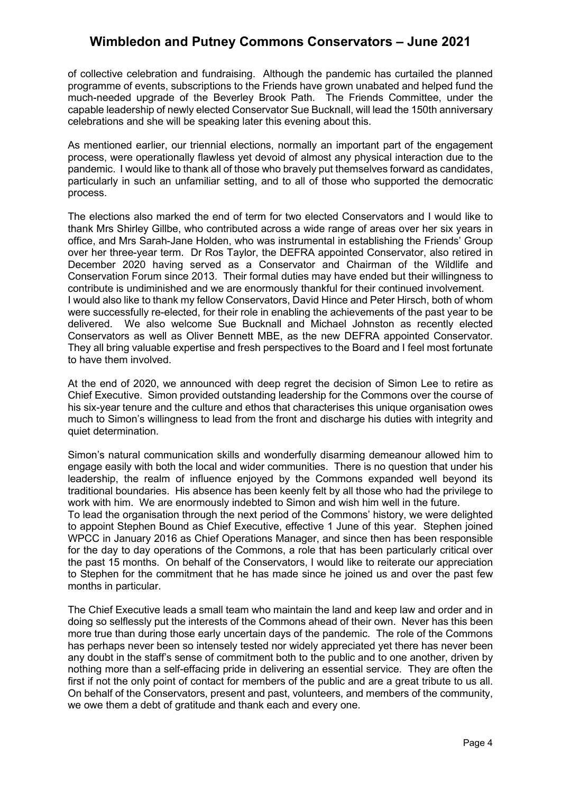of collective celebration and fundraising. Although the pandemic has curtailed the planned programme of events, subscriptions to the Friends have grown unabated and helped fund the much-needed upgrade of the Beverley Brook Path. The Friends Committee, under the capable leadership of newly elected Conservator Sue Bucknall, will lead the 150th anniversary celebrations and she will be speaking later this evening about this.

As mentioned earlier, our triennial elections, normally an important part of the engagement process, were operationally flawless yet devoid of almost any physical interaction due to the pandemic. I would like to thank all of those who bravely put themselves forward as candidates, particularly in such an unfamiliar setting, and to all of those who supported the democratic process.

The elections also marked the end of term for two elected Conservators and I would like to thank Mrs Shirley Gillbe, who contributed across a wide range of areas over her six years in office, and Mrs Sarah-Jane Holden, who was instrumental in establishing the Friends' Group over her three-year term. Dr Ros Taylor, the DEFRA appointed Conservator, also retired in December 2020 having served as a Conservator and Chairman of the Wildlife and Conservation Forum since 2013. Their formal duties may have ended but their willingness to contribute is undiminished and we are enormously thankful for their continued involvement. I would also like to thank my fellow Conservators, David Hince and Peter Hirsch, both of whom were successfully re-elected, for their role in enabling the achievements of the past year to be delivered. We also welcome Sue Bucknall and Michael Johnston as recently elected We also welcome Sue Bucknall and Michael Johnston as recently elected Conservators as well as Oliver Bennett MBE, as the new DEFRA appointed Conservator. They all bring valuable expertise and fresh perspectives to the Board and I feel most fortunate to have them involved.

At the end of 2020, we announced with deep regret the decision of Simon Lee to retire as Chief Executive. Simon provided outstanding leadership for the Commons over the course of his six-year tenure and the culture and ethos that characterises this unique organisation owes much to Simon's willingness to lead from the front and discharge his duties with integrity and quiet determination.

Simon's natural communication skills and wonderfully disarming demeanour allowed him to engage easily with both the local and wider communities. There is no question that under his leadership, the realm of influence enjoyed by the Commons expanded well beyond its traditional boundaries. His absence has been keenly felt by all those who had the privilege to work with him. We are enormously indebted to Simon and wish him well in the future.

To lead the organisation through the next period of the Commons' history, we were delighted to appoint Stephen Bound as Chief Executive, effective 1 June of this year. Stephen joined WPCC in January 2016 as Chief Operations Manager, and since then has been responsible for the day to day operations of the Commons, a role that has been particularly critical over the past 15 months. On behalf of the Conservators, I would like to reiterate our appreciation to Stephen for the commitment that he has made since he joined us and over the past few months in particular.

The Chief Executive leads a small team who maintain the land and keep law and order and in doing so selflessly put the interests of the Commons ahead of their own. Never has this been more true than during those early uncertain days of the pandemic. The role of the Commons has perhaps never been so intensely tested nor widely appreciated yet there has never been any doubt in the staff's sense of commitment both to the public and to one another, driven by nothing more than a self-effacing pride in delivering an essential service. They are often the first if not the only point of contact for members of the public and are a great tribute to us all. On behalf of the Conservators, present and past, volunteers, and members of the community, we owe them a debt of gratitude and thank each and every one.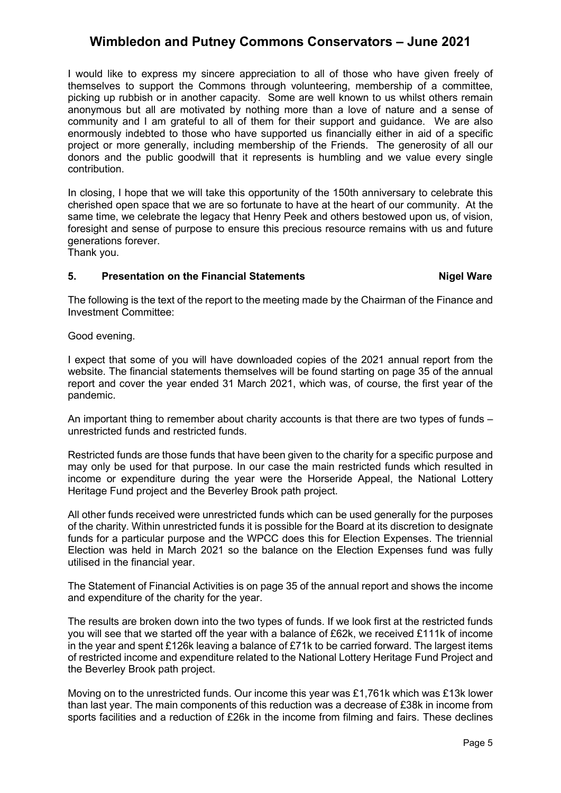I would like to express my sincere appreciation to all of those who have given freely of themselves to support the Commons through volunteering, membership of a committee, picking up rubbish or in another capacity. Some are well known to us whilst others remain anonymous but all are motivated by nothing more than a love of nature and a sense of community and I am grateful to all of them for their support and guidance. We are also enormously indebted to those who have supported us financially either in aid of a specific project or more generally, including membership of the Friends. The generosity of all our donors and the public goodwill that it represents is humbling and we value every single contribution.

In closing, I hope that we will take this opportunity of the 150th anniversary to celebrate this cherished open space that we are so fortunate to have at the heart of our community. At the same time, we celebrate the legacy that Henry Peek and others bestowed upon us, of vision, foresight and sense of purpose to ensure this precious resource remains with us and future generations forever.

Thank you.

#### **5.** Presentation on the Financial Statements **Nigel Ware**

The following is the text of the report to the meeting made by the Chairman of the Finance and Investment Committee:

Good evening.

I expect that some of you will have downloaded copies of the 2021 annual report from the website. The financial statements themselves will be found starting on page 35 of the annual report and cover the year ended 31 March 2021, which was, of course, the first year of the pandemic.

An important thing to remember about charity accounts is that there are two types of funds – unrestricted funds and restricted funds.

Restricted funds are those funds that have been given to the charity for a specific purpose and may only be used for that purpose. In our case the main restricted funds which resulted in income or expenditure during the year were the Horseride Appeal, the National Lottery Heritage Fund project and the Beverley Brook path project.

All other funds received were unrestricted funds which can be used generally for the purposes of the charity. Within unrestricted funds it is possible for the Board at its discretion to designate funds for a particular purpose and the WPCC does this for Election Expenses. The triennial Election was held in March 2021 so the balance on the Election Expenses fund was fully utilised in the financial year.

The Statement of Financial Activities is on page 35 of the annual report and shows the income and expenditure of the charity for the year.

The results are broken down into the two types of funds. If we look first at the restricted funds you will see that we started off the year with a balance of £62k, we received £111k of income in the year and spent £126k leaving a balance of £71k to be carried forward. The largest items of restricted income and expenditure related to the National Lottery Heritage Fund Project and the Beverley Brook path project.

Moving on to the unrestricted funds. Our income this year was £1,761k which was £13k lower than last year. The main components of this reduction was a decrease of £38k in income from sports facilities and a reduction of £26k in the income from filming and fairs. These declines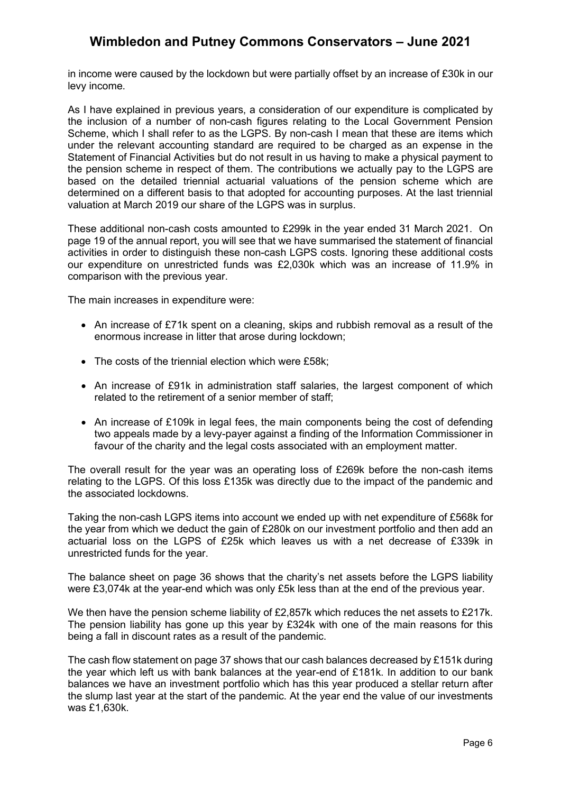in income were caused by the lockdown but were partially offset by an increase of £30k in our levy income.

As I have explained in previous years, a consideration of our expenditure is complicated by the inclusion of a number of non-cash figures relating to the Local Government Pension Scheme, which I shall refer to as the LGPS. By non-cash I mean that these are items which under the relevant accounting standard are required to be charged as an expense in the Statement of Financial Activities but do not result in us having to make a physical payment to the pension scheme in respect of them. The contributions we actually pay to the LGPS are based on the detailed triennial actuarial valuations of the pension scheme which are determined on a different basis to that adopted for accounting purposes. At the last triennial valuation at March 2019 our share of the LGPS was in surplus.

These additional non-cash costs amounted to £299k in the year ended 31 March 2021. On page 19 of the annual report, you will see that we have summarised the statement of financial activities in order to distinguish these non-cash LGPS costs. Ignoring these additional costs our expenditure on unrestricted funds was £2,030k which was an increase of 11.9% in comparison with the previous year.

The main increases in expenditure were:

- An increase of £71k spent on a cleaning, skips and rubbish removal as a result of the enormous increase in litter that arose during lockdown;
- The costs of the triennial election which were £58k;
- An increase of £91k in administration staff salaries, the largest component of which related to the retirement of a senior member of staff;
- An increase of £109k in legal fees, the main components being the cost of defending two appeals made by a levy-payer against a finding of the Information Commissioner in favour of the charity and the legal costs associated with an employment matter.

The overall result for the year was an operating loss of £269k before the non-cash items relating to the LGPS. Of this loss £135k was directly due to the impact of the pandemic and the associated lockdowns.

Taking the non-cash LGPS items into account we ended up with net expenditure of £568k for the year from which we deduct the gain of £280k on our investment portfolio and then add an actuarial loss on the LGPS of £25k which leaves us with a net decrease of £339k in unrestricted funds for the year.

The balance sheet on page 36 shows that the charity's net assets before the LGPS liability were £3,074k at the year-end which was only £5k less than at the end of the previous year.

We then have the pension scheme liability of £2,857k which reduces the net assets to £217k. The pension liability has gone up this year by £324k with one of the main reasons for this being a fall in discount rates as a result of the pandemic.

The cash flow statement on page 37 shows that our cash balances decreased by £151k during the year which left us with bank balances at the year-end of £181k. In addition to our bank balances we have an investment portfolio which has this year produced a stellar return after the slump last year at the start of the pandemic. At the year end the value of our investments was £1,630k.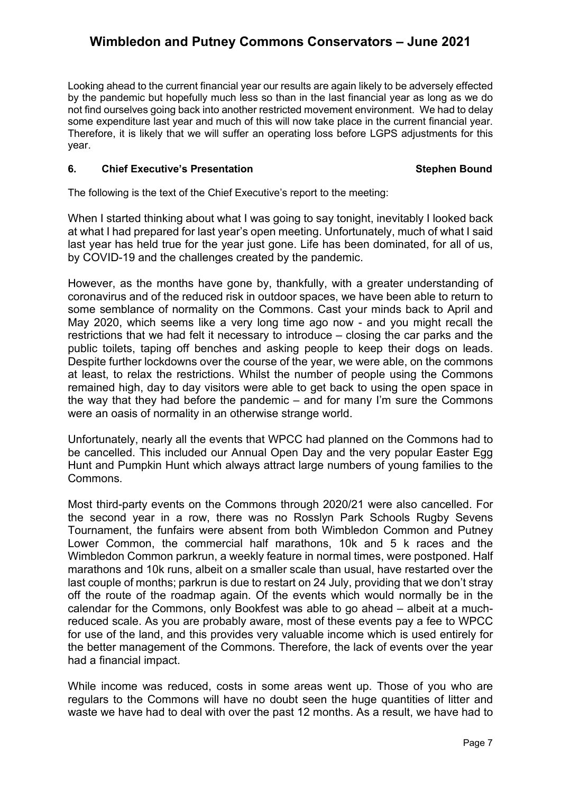Looking ahead to the current financial year our results are again likely to be adversely effected by the pandemic but hopefully much less so than in the last financial year as long as we do not find ourselves going back into another restricted movement environment. We had to delay some expenditure last year and much of this will now take place in the current financial year. Therefore, it is likely that we will suffer an operating loss before LGPS adjustments for this year.

### **6.** Chief Executive's Presentation **Stephen Bound** Stephen Bound

The following is the text of the Chief Executive's report to the meeting:

When I started thinking about what I was going to say tonight, inevitably I looked back at what I had prepared for last year's open meeting. Unfortunately, much of what I said last year has held true for the year just gone. Life has been dominated, for all of us, by COVID-19 and the challenges created by the pandemic.

However, as the months have gone by, thankfully, with a greater understanding of coronavirus and of the reduced risk in outdoor spaces, we have been able to return to some semblance of normality on the Commons. Cast your minds back to April and May 2020, which seems like a very long time ago now - and you might recall the restrictions that we had felt it necessary to introduce – closing the car parks and the public toilets, taping off benches and asking people to keep their dogs on leads. Despite further lockdowns over the course of the year, we were able, on the commons at least, to relax the restrictions. Whilst the number of people using the Commons remained high, day to day visitors were able to get back to using the open space in the way that they had before the pandemic – and for many I'm sure the Commons were an oasis of normality in an otherwise strange world.

Unfortunately, nearly all the events that WPCC had planned on the Commons had to be cancelled. This included our Annual Open Day and the very popular Easter Egg Hunt and Pumpkin Hunt which always attract large numbers of young families to the Commons.

Most third-party events on the Commons through 2020/21 were also cancelled. For the second year in a row, there was no Rosslyn Park Schools Rugby Sevens Tournament, the funfairs were absent from both Wimbledon Common and Putney Lower Common, the commercial half marathons, 10k and 5 k races and the Wimbledon Common parkrun, a weekly feature in normal times, were postponed. Half marathons and 10k runs, albeit on a smaller scale than usual, have restarted over the last couple of months; parkrun is due to restart on 24 July, providing that we don't stray off the route of the roadmap again. Of the events which would normally be in the calendar for the Commons, only Bookfest was able to go ahead – albeit at a muchreduced scale. As you are probably aware, most of these events pay a fee to WPCC for use of the land, and this provides very valuable income which is used entirely for the better management of the Commons. Therefore, the lack of events over the year had a financial impact.

While income was reduced, costs in some areas went up. Those of you who are regulars to the Commons will have no doubt seen the huge quantities of litter and waste we have had to deal with over the past 12 months. As a result, we have had to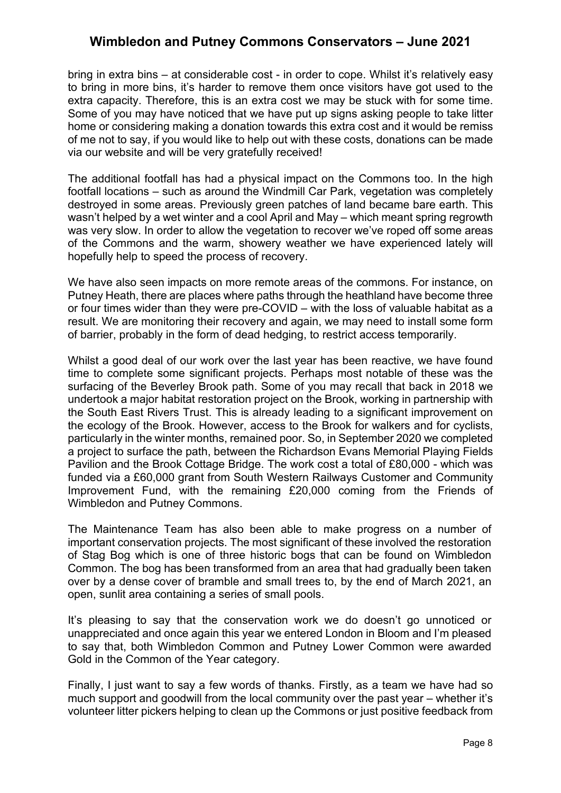bring in extra bins – at considerable cost - in order to cope. Whilst it's relatively easy to bring in more bins, it's harder to remove them once visitors have got used to the extra capacity. Therefore, this is an extra cost we may be stuck with for some time. Some of you may have noticed that we have put up signs asking people to take litter home or considering making a donation towards this extra cost and it would be remiss of me not to say, if you would like to help out with these costs, donations can be made via our website and will be very gratefully received!

The additional footfall has had a physical impact on the Commons too. In the high footfall locations – such as around the Windmill Car Park, vegetation was completely destroyed in some areas. Previously green patches of land became bare earth. This wasn't helped by a wet winter and a cool April and May – which meant spring regrowth was very slow. In order to allow the vegetation to recover we've roped off some areas of the Commons and the warm, showery weather we have experienced lately will hopefully help to speed the process of recovery.

We have also seen impacts on more remote areas of the commons. For instance, on Putney Heath, there are places where paths through the heathland have become three or four times wider than they were pre-COVID – with the loss of valuable habitat as a result. We are monitoring their recovery and again, we may need to install some form of barrier, probably in the form of dead hedging, to restrict access temporarily.

Whilst a good deal of our work over the last year has been reactive, we have found time to complete some significant projects. Perhaps most notable of these was the surfacing of the Beverley Brook path. Some of you may recall that back in 2018 we undertook a major habitat restoration project on the Brook, working in partnership with the South East Rivers Trust. This is already leading to a significant improvement on the ecology of the Brook. However, access to the Brook for walkers and for cyclists, particularly in the winter months, remained poor. So, in September 2020 we completed a project to surface the path, between the Richardson Evans Memorial Playing Fields Pavilion and the Brook Cottage Bridge. The work cost a total of £80,000 - which was funded via a £60,000 grant from South Western Railways Customer and Community Improvement Fund, with the remaining £20,000 coming from the Friends of Wimbledon and Putney Commons.

The Maintenance Team has also been able to make progress on a number of important conservation projects. The most significant of these involved the restoration of Stag Bog which is one of three historic bogs that can be found on Wimbledon Common. The bog has been transformed from an area that had gradually been taken over by a dense cover of bramble and small trees to, by the end of March 2021, an open, sunlit area containing a series of small pools.

It's pleasing to say that the conservation work we do doesn't go unnoticed or unappreciated and once again this year we entered London in Bloom and I'm pleased to say that, both Wimbledon Common and Putney Lower Common were awarded Gold in the Common of the Year category.

Finally, I just want to say a few words of thanks. Firstly, as a team we have had so much support and goodwill from the local community over the past year – whether it's volunteer litter pickers helping to clean up the Commons or just positive feedback from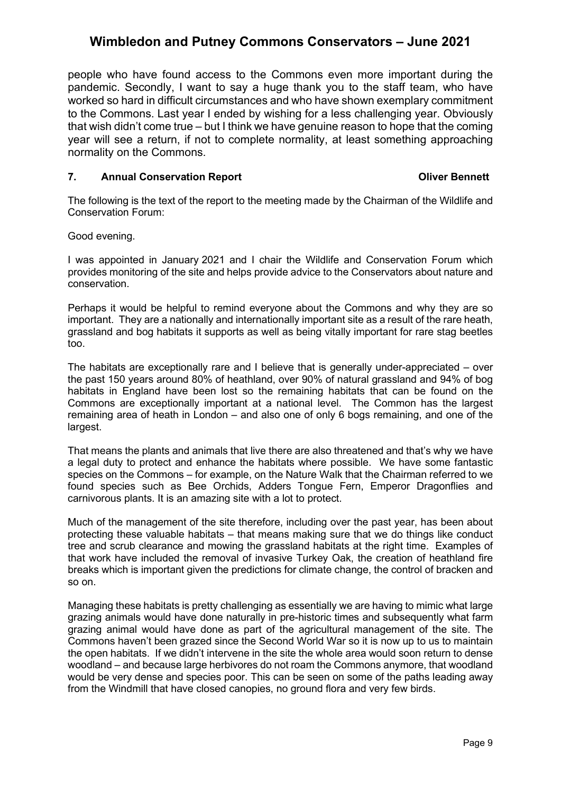people who have found access to the Commons even more important during the pandemic. Secondly, I want to say a huge thank you to the staff team, who have worked so hard in difficult circumstances and who have shown exemplary commitment to the Commons. Last year I ended by wishing for a less challenging year. Obviously that wish didn't come true – but I think we have genuine reason to hope that the coming year will see a return, if not to complete normality, at least something approaching normality on the Commons.

### **7. Annual Conservation Report Conservation Report Conservation Report Conservation Report**

The following is the text of the report to the meeting made by the Chairman of the Wildlife and Conservation Forum:

Good evening.

I was appointed in January 2021 and I chair the Wildlife and Conservation Forum which provides monitoring of the site and helps provide advice to the Conservators about nature and conservation.

Perhaps it would be helpful to remind everyone about the Commons and why they are so important. They are a nationally and internationally important site as a result of the rare heath, grassland and bog habitats it supports as well as being vitally important for rare stag beetles too.

The habitats are exceptionally rare and I believe that is generally under-appreciated – over the past 150 years around 80% of heathland, over 90% of natural grassland and 94% of bog habitats in England have been lost so the remaining habitats that can be found on the Commons are exceptionally important at a national level. The Common has the largest remaining area of heath in London – and also one of only 6 bogs remaining, and one of the largest.

That means the plants and animals that live there are also threatened and that's why we have a legal duty to protect and enhance the habitats where possible. We have some fantastic species on the Commons – for example, on the Nature Walk that the Chairman referred to we found species such as Bee Orchids, Adders Tongue Fern, Emperor Dragonflies and carnivorous plants. It is an amazing site with a lot to protect.

Much of the management of the site therefore, including over the past year, has been about protecting these valuable habitats – that means making sure that we do things like conduct tree and scrub clearance and mowing the grassland habitats at the right time. Examples of that work have included the removal of invasive Turkey Oak, the creation of heathland fire breaks which is important given the predictions for climate change, the control of bracken and so on.

Managing these habitats is pretty challenging as essentially we are having to mimic what large grazing animals would have done naturally in pre-historic times and subsequently what farm grazing animal would have done as part of the agricultural management of the site. The Commons haven't been grazed since the Second World War so it is now up to us to maintain the open habitats. If we didn't intervene in the site the whole area would soon return to dense woodland – and because large herbivores do not roam the Commons anymore, that woodland would be very dense and species poor. This can be seen on some of the paths leading away from the Windmill that have closed canopies, no ground flora and very few birds.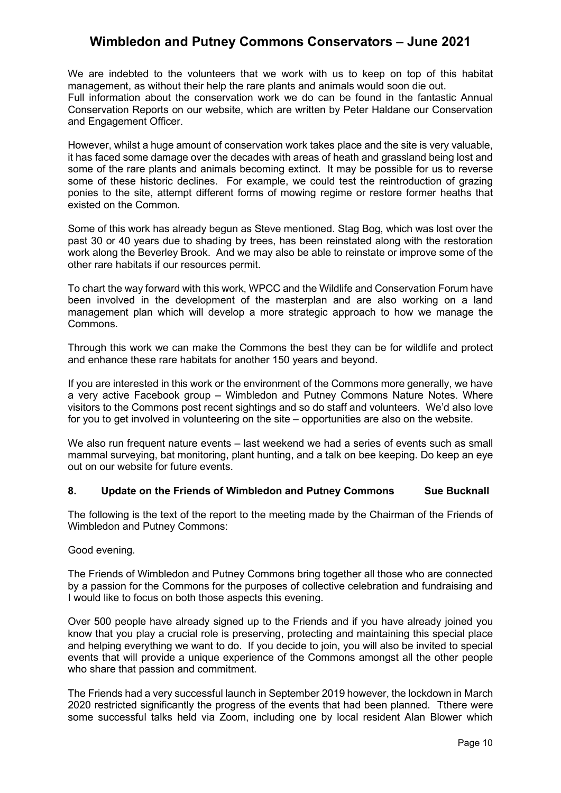We are indebted to the volunteers that we work with us to keep on top of this habitat management, as without their help the rare plants and animals would soon die out. Full information about the conservation work we do can be found in the fantastic Annual Conservation Reports on our website, which are written by Peter Haldane our Conservation and Engagement Officer.

However, whilst a huge amount of conservation work takes place and the site is very valuable, it has faced some damage over the decades with areas of heath and grassland being lost and some of the rare plants and animals becoming extinct. It may be possible for us to reverse some of these historic declines. For example, we could test the reintroduction of grazing ponies to the site, attempt different forms of mowing regime or restore former heaths that existed on the Common.

Some of this work has already begun as Steve mentioned. Stag Bog, which was lost over the past 30 or 40 years due to shading by trees, has been reinstated along with the restoration work along the Beverley Brook. And we may also be able to reinstate or improve some of the other rare habitats if our resources permit.

To chart the way forward with this work, WPCC and the Wildlife and Conservation Forum have been involved in the development of the masterplan and are also working on a land management plan which will develop a more strategic approach to how we manage the Commons.

Through this work we can make the Commons the best they can be for wildlife and protect and enhance these rare habitats for another 150 years and beyond.

If you are interested in this work or the environment of the Commons more generally, we have a very active Facebook group – Wimbledon and Putney Commons Nature Notes. Where visitors to the Commons post recent sightings and so do staff and volunteers. We'd also love for you to get involved in volunteering on the site – opportunities are also on the website.

We also run frequent nature events – last weekend we had a series of events such as small mammal surveying, bat monitoring, plant hunting, and a talk on bee keeping. Do keep an eye out on our website for future events.

### **8. Update on the Friends of Wimbledon and Putney Commons Sue Bucknall**

The following is the text of the report to the meeting made by the Chairman of the Friends of Wimbledon and Putney Commons:

Good evening.

The Friends of Wimbledon and Putney Commons bring together all those who are connected by a passion for the Commons for the purposes of collective celebration and fundraising and I would like to focus on both those aspects this evening.

Over 500 people have already signed up to the Friends and if you have already joined you know that you play a crucial role is preserving, protecting and maintaining this special place and helping everything we want to do. If you decide to join, you will also be invited to special events that will provide a unique experience of the Commons amongst all the other people who share that passion and commitment.

The Friends had a very successful launch in September 2019 however, the lockdown in March 2020 restricted significantly the progress of the events that had been planned. Tthere were some successful talks held via Zoom, including one by local resident Alan Blower which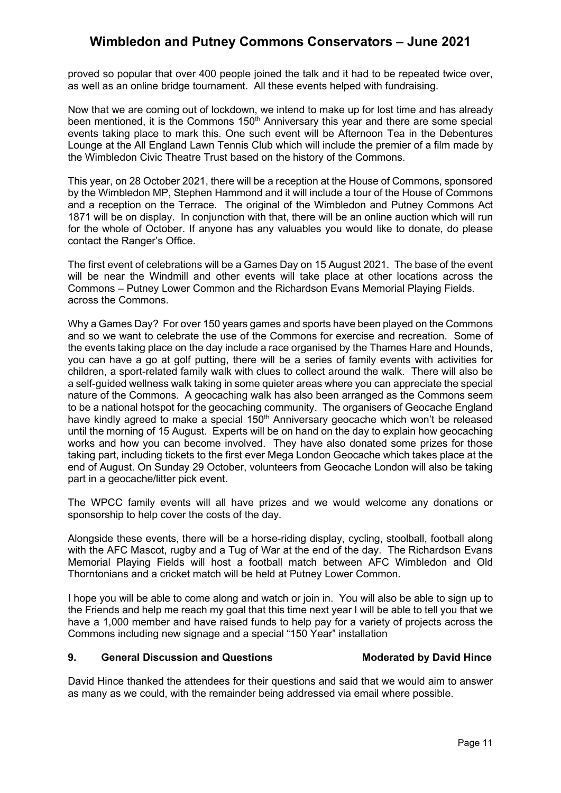proved so popular that over 400 people joined the talk and it had to be repeated twice over, as well as an online bridge tournament. All these events helped with fundraising.

Now that we are coming out of lockdown, we intend to make up for lost time and has already been mentioned, it is the Commons  $150<sup>th</sup>$  Anniversary this year and there are some special events taking place to mark this. One such event will be Afternoon Tea in the Debentures Lounge at the All England Lawn Tennis Club which will include the premier of a film made by the Wimbledon Civic Theatre Trust based on the history of the Commons.

This year, on 28 October 2021, there will be a reception at the House of Commons, sponsored by the Wimbledon MP, Stephen Hammond and it will include a tour of the House of Commons and a reception on the Terrace. The original of the Wimbledon and Putney Commons Act 1871 will be on display. In conjunction with that, there will be an online auction which will run for the whole of October. If anyone has any valuables you would like to donate, do please contact the Ranger's Office.

The first event of celebrations will be a Games Day on 15 August 2021. The base of the event will be near the Windmill and other events will take place at other locations across the Commons – Putney Lower Common and the Richardson Evans Memorial Playing Fields. across the Commons.

Why a Games Day? For over 150 years games and sports have been played on the Commons and so we want to celebrate the use of the Commons for exercise and recreation. Some of the events taking place on the day include a race organised by the Thames Hare and Hounds, you can have a go at golf putting, there will be a series of family events with activities for children, a sport-related family walk with clues to collect around the walk. There will also be a self-guided wellness walk taking in some quieter areas where you can appreciate the special nature of the Commons. A geocaching walk has also been arranged as the Commons seem to be a national hotspot for the geocaching community. The organisers of Geocache England have kindly agreed to make a special 150<sup>th</sup> Anniversary geocache which won't be released until the morning of 15 August. Experts will be on hand on the day to explain how geocaching works and how you can become involved. They have also donated some prizes for those taking part, including tickets to the first ever Mega London Geocache which takes place at the end of August. On Sunday 29 October, volunteers from Geocache London will also be taking part in a geocache/litter pick event.

The WPCC family events will all have prizes and we would welcome any donations or sponsorship to help cover the costs of the day.

Alongside these events, there will be a horse-riding display, cycling, stoolball, football along with the AFC Mascot, rugby and a Tug of War at the end of the day. The Richardson Evans Memorial Playing Fields will host a football match between AFC Wimbledon and Old Thorntonians and a cricket match will be held at Putney Lower Common.

I hope you will be able to come along and watch or join in. You will also be able to sign up to the Friends and help me reach my goal that this time next year I will be able to tell you that we have a 1,000 member and have raised funds to help pay for a variety of projects across the Commons including new signage and a special "150 Year" installation

#### **9. General Discussion and Questions Moderated by David Hince**

David Hince thanked the attendees for their questions and said that we would aim to answer as many as we could, with the remainder being addressed via email where possible.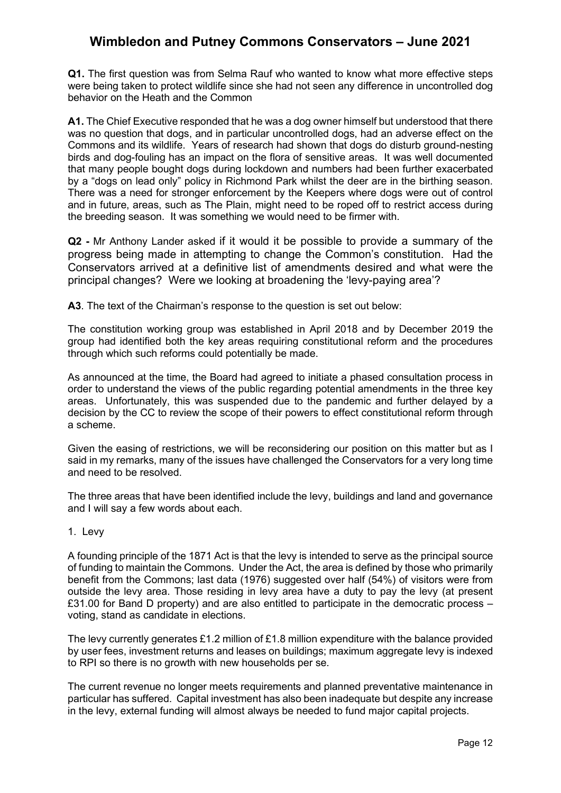**Q1.** The first question was from Selma Rauf who wanted to know what more effective steps were being taken to protect wildlife since she had not seen any difference in uncontrolled dog behavior on the Heath and the Common

**A1.** The Chief Executive responded that he was a dog owner himself but understood that there was no question that dogs, and in particular uncontrolled dogs, had an adverse effect on the Commons and its wildlife. Years of research had shown that dogs do disturb ground-nesting birds and dog-fouling has an impact on the flora of sensitive areas. It was well documented that many people bought dogs during lockdown and numbers had been further exacerbated by a "dogs on lead only" policy in Richmond Park whilst the deer are in the birthing season. There was a need for stronger enforcement by the Keepers where dogs were out of control and in future, areas, such as The Plain, might need to be roped off to restrict access during the breeding season. It was something we would need to be firmer with.

**Q2 -** Mr Anthony Lander asked if it would it be possible to provide a summary of the progress being made in attempting to change the Common's constitution. Had the Conservators arrived at a definitive list of amendments desired and what were the principal changes? Were we looking at broadening the 'levy-paying area'?

**A3**. The text of the Chairman's response to the question is set out below:

The constitution working group was established in April 2018 and by December 2019 the group had identified both the key areas requiring constitutional reform and the procedures through which such reforms could potentially be made.

As announced at the time, the Board had agreed to initiate a phased consultation process in order to understand the views of the public regarding potential amendments in the three key areas. Unfortunately, this was suspended due to the pandemic and further delayed by a decision by the CC to review the scope of their powers to effect constitutional reform through a scheme.

Given the easing of restrictions, we will be reconsidering our position on this matter but as I said in my remarks, many of the issues have challenged the Conservators for a very long time and need to be resolved.

The three areas that have been identified include the levy, buildings and land and governance and I will say a few words about each.

#### 1. Levy

A founding principle of the 1871 Act is that the levy is intended to serve as the principal source of funding to maintain the Commons. Under the Act, the area is defined by those who primarily benefit from the Commons; last data (1976) suggested over half (54%) of visitors were from outside the levy area. Those residing in levy area have a duty to pay the levy (at present £31.00 for Band D property) and are also entitled to participate in the democratic process – voting, stand as candidate in elections.

The levy currently generates £1.2 million of £1.8 million expenditure with the balance provided by user fees, investment returns and leases on buildings; maximum aggregate levy is indexed to RPI so there is no growth with new households per se.

The current revenue no longer meets requirements and planned preventative maintenance in particular has suffered. Capital investment has also been inadequate but despite any increase in the levy, external funding will almost always be needed to fund major capital projects.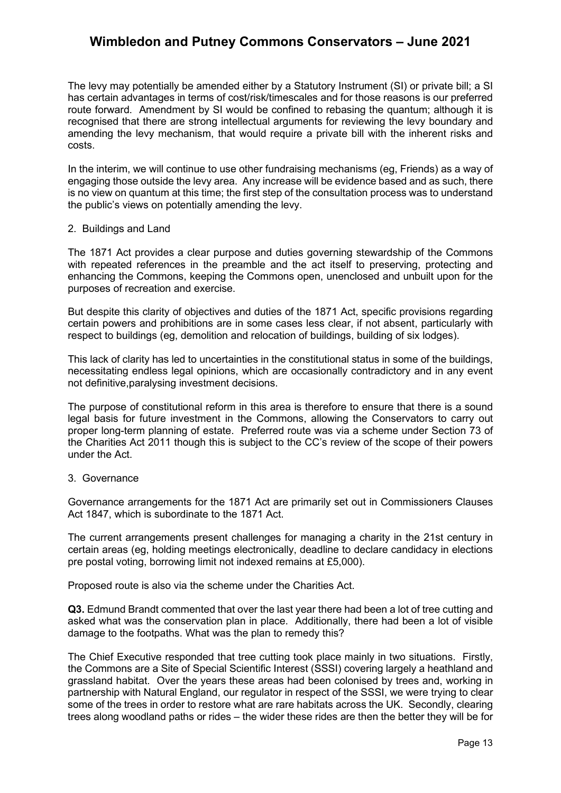The levy may potentially be amended either by a Statutory Instrument (SI) or private bill; a SI has certain advantages in terms of cost/risk/timescales and for those reasons is our preferred route forward. Amendment by SI would be confined to rebasing the quantum; although it is recognised that there are strong intellectual arguments for reviewing the levy boundary and amending the levy mechanism, that would require a private bill with the inherent risks and costs.

In the interim, we will continue to use other fundraising mechanisms (eg, Friends) as a way of engaging those outside the levy area. Any increase will be evidence based and as such, there is no view on quantum at this time; the first step of the consultation process was to understand the public's views on potentially amending the levy.

#### 2. Buildings and Land

The 1871 Act provides a clear purpose and duties governing stewardship of the Commons with repeated references in the preamble and the act itself to preserving, protecting and enhancing the Commons, keeping the Commons open, unenclosed and unbuilt upon for the purposes of recreation and exercise.

But despite this clarity of objectives and duties of the 1871 Act, specific provisions regarding certain powers and prohibitions are in some cases less clear, if not absent, particularly with respect to buildings (eg, demolition and relocation of buildings, building of six lodges).

This lack of clarity has led to uncertainties in the constitutional status in some of the buildings, necessitating endless legal opinions, which are occasionally contradictory and in any event not definitive,paralysing investment decisions.

The purpose of constitutional reform in this area is therefore to ensure that there is a sound legal basis for future investment in the Commons, allowing the Conservators to carry out proper long-term planning of estate. Preferred route was via a scheme under Section 73 of the Charities Act 2011 though this is subject to the CC's review of the scope of their powers under the Act.

### 3. Governance

Governance arrangements for the 1871 Act are primarily set out in Commissioners Clauses Act 1847, which is subordinate to the 1871 Act.

The current arrangements present challenges for managing a charity in the 21st century in certain areas (eg, holding meetings electronically, deadline to declare candidacy in elections pre postal voting, borrowing limit not indexed remains at £5,000).

Proposed route is also via the scheme under the Charities Act.

**Q3.** Edmund Brandt commented that over the last year there had been a lot of tree cutting and asked what was the conservation plan in place. Additionally, there had been a lot of visible damage to the footpaths. What was the plan to remedy this?

The Chief Executive responded that tree cutting took place mainly in two situations. Firstly, the Commons are a Site of Special Scientific Interest (SSSI) covering largely a heathland and grassland habitat. Over the years these areas had been colonised by trees and, working in partnership with Natural England, our regulator in respect of the SSSI, we were trying to clear some of the trees in order to restore what are rare habitats across the UK. Secondly, clearing trees along woodland paths or rides – the wider these rides are then the better they will be for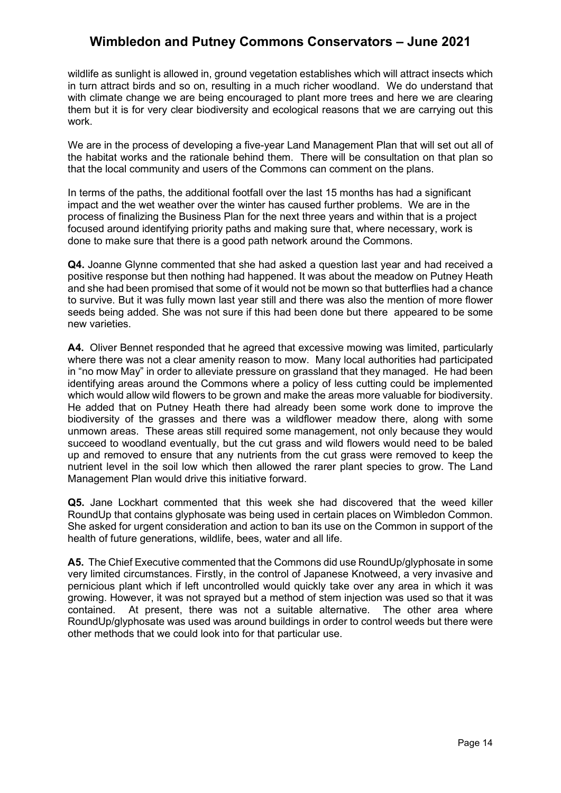wildlife as sunlight is allowed in, ground vegetation establishes which will attract insects which in turn attract birds and so on, resulting in a much richer woodland. We do understand that with climate change we are being encouraged to plant more trees and here we are clearing them but it is for very clear biodiversity and ecological reasons that we are carrying out this work.

We are in the process of developing a five-year Land Management Plan that will set out all of the habitat works and the rationale behind them. There will be consultation on that plan so that the local community and users of the Commons can comment on the plans.

In terms of the paths, the additional footfall over the last 15 months has had a significant impact and the wet weather over the winter has caused further problems. We are in the process of finalizing the Business Plan for the next three years and within that is a project focused around identifying priority paths and making sure that, where necessary, work is done to make sure that there is a good path network around the Commons.

**Q4.** Joanne Glynne commented that she had asked a question last year and had received a positive response but then nothing had happened. It was about the meadow on Putney Heath and she had been promised that some of it would not be mown so that butterflies had a chance to survive. But it was fully mown last year still and there was also the mention of more flower seeds being added. She was not sure if this had been done but there appeared to be some new varieties.

**A4.** Oliver Bennet responded that he agreed that excessive mowing was limited, particularly where there was not a clear amenity reason to mow. Many local authorities had participated in "no mow May" in order to alleviate pressure on grassland that they managed. He had been identifying areas around the Commons where a policy of less cutting could be implemented which would allow wild flowers to be grown and make the areas more valuable for biodiversity. He added that on Putney Heath there had already been some work done to improve the biodiversity of the grasses and there was a wildflower meadow there, along with some unmown areas. These areas still required some management, not only because they would succeed to woodland eventually, but the cut grass and wild flowers would need to be baled up and removed to ensure that any nutrients from the cut grass were removed to keep the nutrient level in the soil low which then allowed the rarer plant species to grow. The Land Management Plan would drive this initiative forward.

**Q5.** Jane Lockhart commented that this week she had discovered that the weed killer RoundUp that contains glyphosate was being used in certain places on Wimbledon Common. She asked for urgent consideration and action to ban its use on the Common in support of the health of future generations, wildlife, bees, water and all life.

**A5.** The Chief Executive commented that the Commons did use RoundUp/glyphosate in some very limited circumstances. Firstly, in the control of Japanese Knotweed, a very invasive and pernicious plant which if left uncontrolled would quickly take over any area in which it was growing. However, it was not sprayed but a method of stem injection was used so that it was contained. At present, there was not a suitable alternative. The other area where RoundUp/glyphosate was used was around buildings in order to control weeds but there were other methods that we could look into for that particular use.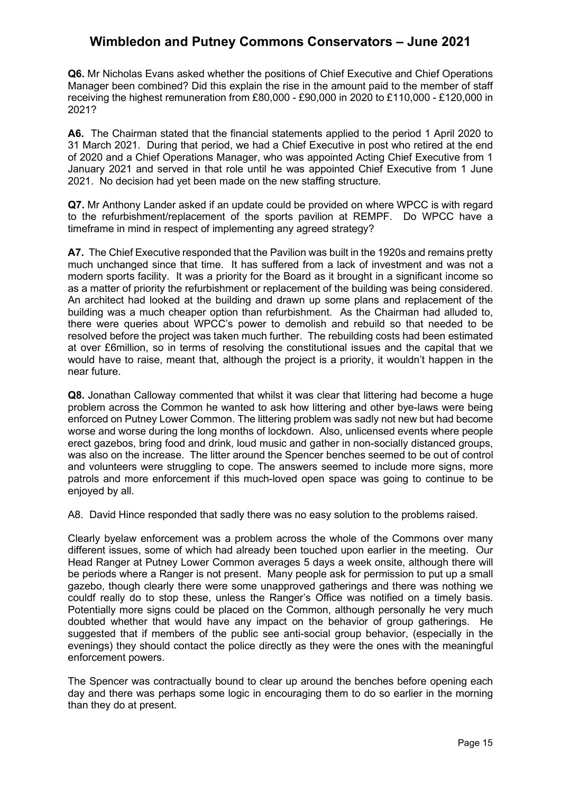**Q6.** Mr Nicholas Evans asked whether the positions of Chief Executive and Chief Operations Manager been combined? Did this explain the rise in the amount paid to the member of staff receiving the highest remuneration from £80,000 - £90,000 in 2020 to £110,000 - £120,000 in 2021?

**A6.** The Chairman stated that the financial statements applied to the period 1 April 2020 to 31 March 2021. During that period, we had a Chief Executive in post who retired at the end of 2020 and a Chief Operations Manager, who was appointed Acting Chief Executive from 1 January 2021 and served in that role until he was appointed Chief Executive from 1 June 2021. No decision had yet been made on the new staffing structure.

**Q7.** Mr Anthony Lander asked if an update could be provided on where WPCC is with regard to the refurbishment/replacement of the sports pavilion at REMPF. Do WPCC have a timeframe in mind in respect of implementing any agreed strategy?

**A7.** The Chief Executive responded that the Pavilion was built in the 1920s and remains pretty much unchanged since that time. It has suffered from a lack of investment and was not a modern sports facility. It was a priority for the Board as it brought in a significant income so as a matter of priority the refurbishment or replacement of the building was being considered. An architect had looked at the building and drawn up some plans and replacement of the building was a much cheaper option than refurbishment. As the Chairman had alluded to, there were queries about WPCC's power to demolish and rebuild so that needed to be resolved before the project was taken much further. The rebuilding costs had been estimated at over £6million, so in terms of resolving the constitutional issues and the capital that we would have to raise, meant that, although the project is a priority, it wouldn't happen in the near future.

**Q8.** Jonathan Calloway commented that whilst it was clear that littering had become a huge problem across the Common he wanted to ask how littering and other bye-laws were being enforced on Putney Lower Common. The littering problem was sadly not new but had become worse and worse during the long months of lockdown. Also, unlicensed events where people erect gazebos, bring food and drink, loud music and gather in non-socially distanced groups, was also on the increase. The litter around the Spencer benches seemed to be out of control and volunteers were struggling to cope. The answers seemed to include more signs, more patrols and more enforcement if this much-loved open space was going to continue to be enjoyed by all.

A8. David Hince responded that sadly there was no easy solution to the problems raised.

Clearly byelaw enforcement was a problem across the whole of the Commons over many different issues, some of which had already been touched upon earlier in the meeting. Our Head Ranger at Putney Lower Common averages 5 days a week onsite, although there will be periods where a Ranger is not present. Many people ask for permission to put up a small gazebo, though clearly there were some unapproved gatherings and there was nothing we couldf really do to stop these, unless the Ranger's Office was notified on a timely basis. Potentially more signs could be placed on the Common, although personally he very much doubted whether that would have any impact on the behavior of group gatherings. He suggested that if members of the public see anti-social group behavior, (especially in the evenings) they should contact the police directly as they were the ones with the meaningful enforcement powers.

The Spencer was contractually bound to clear up around the benches before opening each day and there was perhaps some logic in encouraging them to do so earlier in the morning than they do at present.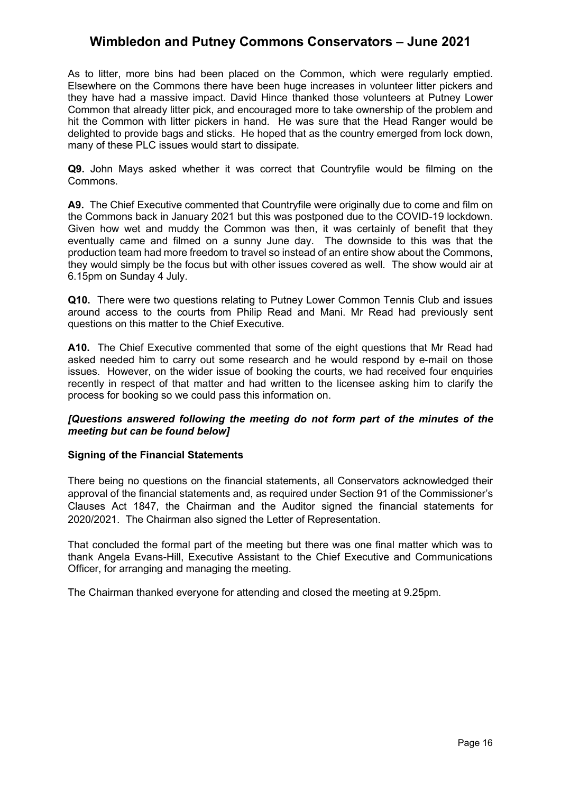As to litter, more bins had been placed on the Common, which were regularly emptied. Elsewhere on the Commons there have been huge increases in volunteer litter pickers and they have had a massive impact. David Hince thanked those volunteers at Putney Lower Common that already litter pick, and encouraged more to take ownership of the problem and hit the Common with litter pickers in hand. He was sure that the Head Ranger would be delighted to provide bags and sticks. He hoped that as the country emerged from lock down, many of these PLC issues would start to dissipate.

**Q9.** John Mays asked whether it was correct that Countryfile would be filming on the Commons.

**A9.** The Chief Executive commented that Countryfile were originally due to come and film on the Commons back in January 2021 but this was postponed due to the COVID-19 lockdown. Given how wet and muddy the Common was then, it was certainly of benefit that they eventually came and filmed on a sunny June day. The downside to this was that the production team had more freedom to travel so instead of an entire show about the Commons, they would simply be the focus but with other issues covered as well. The show would air at 6.15pm on Sunday 4 July.

**Q10.** There were two questions relating to Putney Lower Common Tennis Club and issues around access to the courts from Philip Read and Mani. Mr Read had previously sent questions on this matter to the Chief Executive.

**A10.** The Chief Executive commented that some of the eight questions that Mr Read had asked needed him to carry out some research and he would respond by e-mail on those issues. However, on the wider issue of booking the courts, we had received four enquiries recently in respect of that matter and had written to the licensee asking him to clarify the process for booking so we could pass this information on.

### *[Questions answered following the meeting do not form part of the minutes of the meeting but can be found below]*

### **Signing of the Financial Statements**

There being no questions on the financial statements, all Conservators acknowledged their approval of the financial statements and, as required under Section 91 of the Commissioner's Clauses Act 1847, the Chairman and the Auditor signed the financial statements for 2020/2021. The Chairman also signed the Letter of Representation.

That concluded the formal part of the meeting but there was one final matter which was to thank Angela Evans-Hill, Executive Assistant to the Chief Executive and Communications Officer, for arranging and managing the meeting.

The Chairman thanked everyone for attending and closed the meeting at 9.25pm.